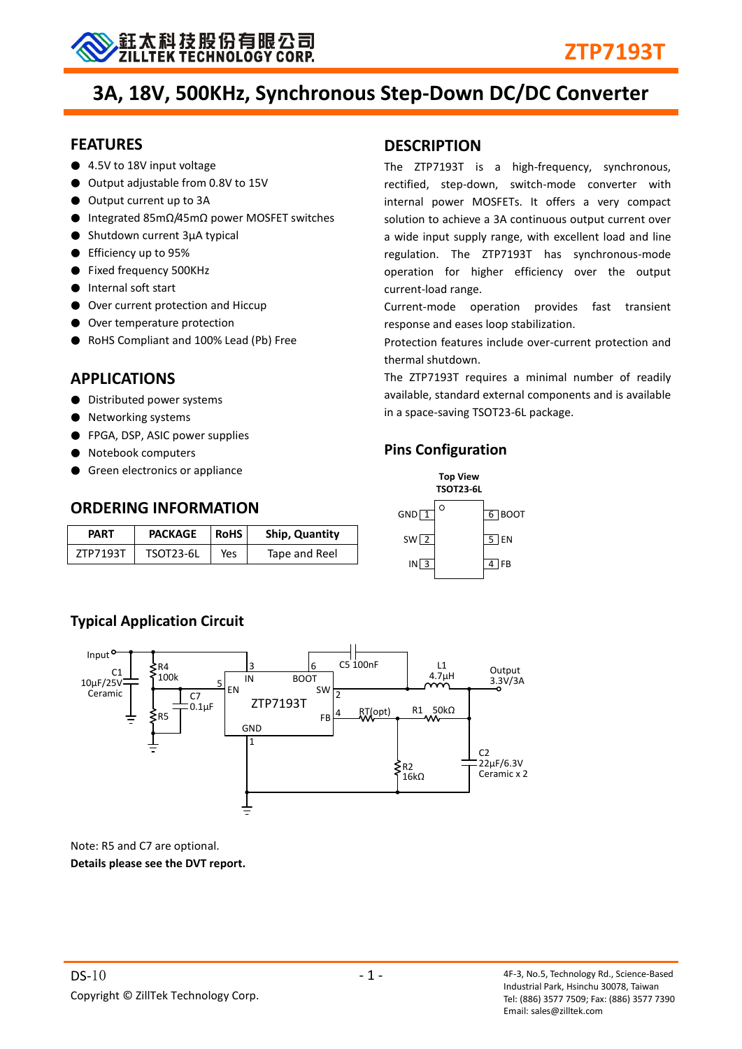

# **3A, 18V, 500KHz, Synchronous Step-Down DC/DC Converter**

#### **FEATURES**

- 4.5V to 18V input voltage
- Output adjustable from 0.8V to 15V
- Output current up to 3A
- Integrated 85mΩ/45mΩ power MOSFET switches
- Shutdown current 3μA typical
- Efficiency up to 95%
- Fixed frequency 500KHz
- Internal soft start
- Over current protection and Hiccup
- Over temperature protection
- RoHS Compliant and 100% Lead (Pb) Free

## **APPLICATIONS**

- Distributed power systems
- Networking systems
- FPGA, DSP, ASIC power supplies
- Notebook computers
- Green electronics or appliance

## **ORDERING INFORMATION**

| <b>PART</b> | <b>PACKAGE</b><br><b>RoHS</b> |     | Ship, Quantity |
|-------------|-------------------------------|-----|----------------|
| ZTP7193T    | TSOT23-6L                     | Yes | Tape and Reel  |

# **Typical Application Circuit**



Note: R5 and C7 are optional. **Details please see the DVT report.**

# **DESCRIPTION**

The ZTP7193T is a high-frequency, synchronous, rectified, step-down, switch-mode converter with internal power MOSFETs. It offers a very compact solution to achieve a 3A continuous output current over a wide input supply range, with excellent load and line regulation. The ZTP7193T has synchronous-mode operation for higher efficiency over the output current-load range.

Current-mode operation provides fast transient response and eases loop stabilization.

Protection features include over-current protection and thermal shutdown.

The ZTP7193T requires a minimal number of readily available, standard external components and is available in a space-saving TSOT23-6L package.

## **Pins Configuration**

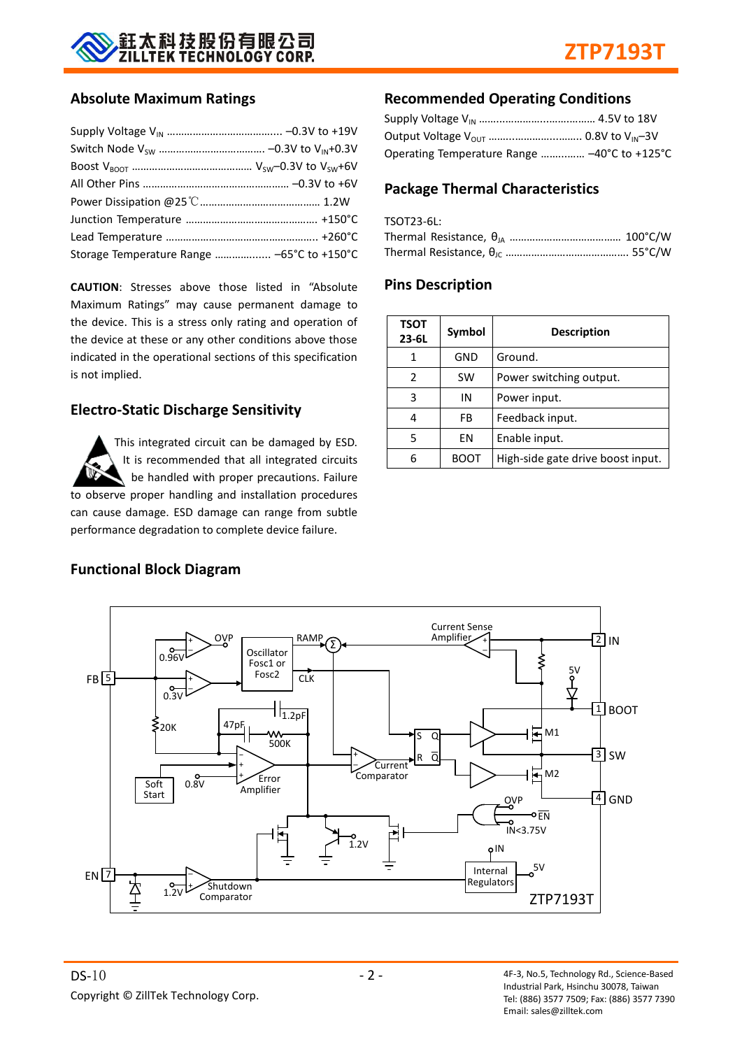

#### **Absolute Maximum Ratings**

| Storage Temperature Range  -65°C to +150°C |  |
|--------------------------------------------|--|

**CAUTION**: Stresses above those listed in "Absolute Maximum Ratings" may cause permanent damage to the device. This is a stress only rating and operation of the device at these or any other conditions above those indicated in the operational sections of this specification is not implied.

#### **Electro-Static Discharge Sensitivity**

This integrated circuit can be damaged by ESD. It is recommended that all integrated circuits be handled with proper precautions. Failure to observe proper handling and installation procedures can cause damage. ESD damage can range from subtle performance degradation to complete device failure.

#### **Recommended Operating Conditions**

| Operating Temperature Range  -40°C to +125°C |  |
|----------------------------------------------|--|

#### **Package Thermal Characteristics**

| TSOT23-6L: |  |
|------------|--|
|            |  |
|            |  |

#### **Pins Description**

| <b>TSOT</b><br>$23 - 6L$ | Symbol | <b>Description</b>                |  |
|--------------------------|--------|-----------------------------------|--|
| 1                        | GND    | Ground.                           |  |
| 2                        | SW     | Power switching output.           |  |
| 3                        | ΙN     | Power input.                      |  |
|                          | FB     | Feedback input.                   |  |
| 5                        | ΕN     | Enable input.                     |  |
|                          | BOOT   | High-side gate drive boost input. |  |



#### **Functional Block Diagram**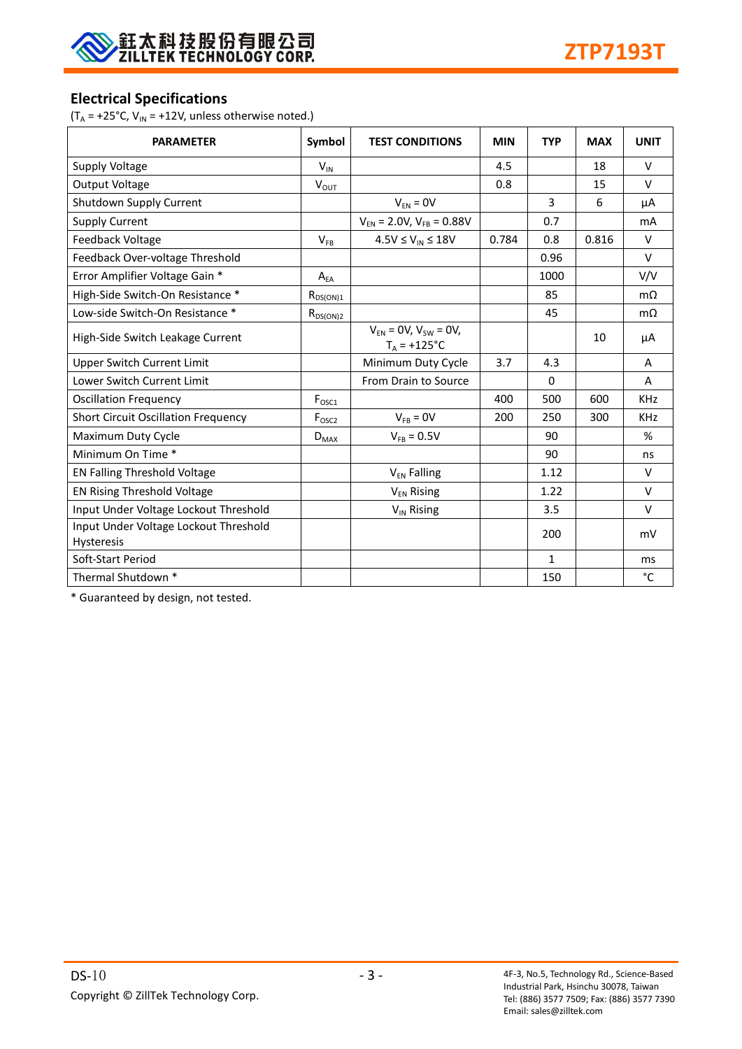

#### **Electrical Specifications**

( $T_A$  = +25°C,  $V_{IN}$  = +12V, unless otherwise noted.)

| <b>PARAMETER</b>                                           | Symbol            | <b>TEST CONDITIONS</b>                         | <b>MIN</b> | <b>TYP</b>   | <b>MAX</b> | <b>UNIT</b> |
|------------------------------------------------------------|-------------------|------------------------------------------------|------------|--------------|------------|-------------|
| Supply Voltage                                             | $V_{IN}$          |                                                | 4.5        |              | 18         | $\vee$      |
| <b>Output Voltage</b>                                      | $V_{OUT}$         |                                                | 0.8        |              | 15         | $\vee$      |
| Shutdown Supply Current                                    |                   | $V_{EN} = 0V$                                  |            | 3            | 6          | μA          |
| <b>Supply Current</b>                                      |                   | $V_{EN}$ = 2.0V, $V_{FB}$ = 0.88V              |            | 0.7          |            | mA          |
| Feedback Voltage                                           | $V_{FB}$          | $4.5V \leq V_{IN} \leq 18V$                    | 0.784      | 0.8          | 0.816      | $\vee$      |
| Feedback Over-voltage Threshold                            |                   |                                                |            | 0.96         |            | $\vee$      |
| Error Amplifier Voltage Gain *                             | $A_{EA}$          |                                                |            | 1000         |            | V/V         |
| High-Side Switch-On Resistance *                           | $R_{DS(ON)1}$     |                                                |            | 85           |            | $m\Omega$   |
| Low-side Switch-On Resistance *                            | $R_{DS(ON)2}$     |                                                |            | 45           |            | $m\Omega$   |
| High-Side Switch Leakage Current                           |                   | $V_{FN} = 0V, V_{SW} = 0V,$<br>$T_A = +125$ °C |            |              | 10         | μA          |
| <b>Upper Switch Current Limit</b>                          |                   | Minimum Duty Cycle                             | 3.7        | 4.3          |            | A           |
| <b>Lower Switch Current Limit</b>                          |                   | From Drain to Source                           |            | $\Omega$     |            | A           |
| <b>Oscillation Frequency</b>                               | $F_{\text{OSC1}}$ |                                                | 400        | 500          | 600        | <b>KHz</b>  |
| <b>Short Circuit Oscillation Frequency</b>                 | F <sub>OSC2</sub> | $V_{FB} = 0V$                                  | 200        | 250          | 300        | <b>KHz</b>  |
| Maximum Duty Cycle                                         | $D_{MAX}$         | $V_{FB} = 0.5V$                                |            | 90           |            | %           |
| Minimum On Time *                                          |                   |                                                |            | 90           |            | ns          |
| EN Falling Threshold Voltage                               |                   | V <sub>EN</sub> Falling                        |            | 1.12         |            | $\vee$      |
| EN Rising Threshold Voltage                                |                   | $V_{EN}$ Rising                                |            | 1.22         |            | $\vee$      |
| Input Under Voltage Lockout Threshold                      |                   | VIN Rising                                     |            | 3.5          |            | $\vee$      |
| Input Under Voltage Lockout Threshold<br><b>Hysteresis</b> |                   |                                                |            | 200          |            | mV          |
| Soft-Start Period                                          |                   |                                                |            | $\mathbf{1}$ |            | ms          |
| Thermal Shutdown *                                         |                   |                                                |            | 150          |            | °C          |

\* Guaranteed by design, not tested.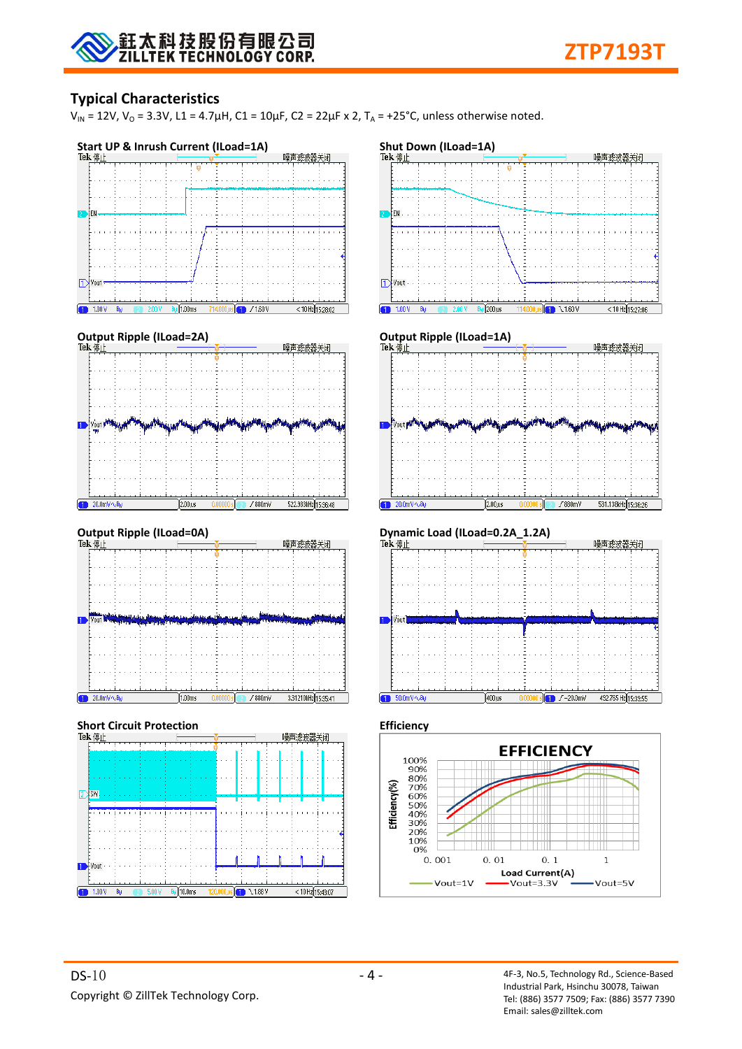## **Typical Characteristics**

 $V_{IN}$  = 12V,  $V_{O}$  = 3.3V, L1 = 4.7μH, C1 = 10μF, C2 = 22μF x 2, T<sub>A</sub> = +25°C, unless otherwise noted.







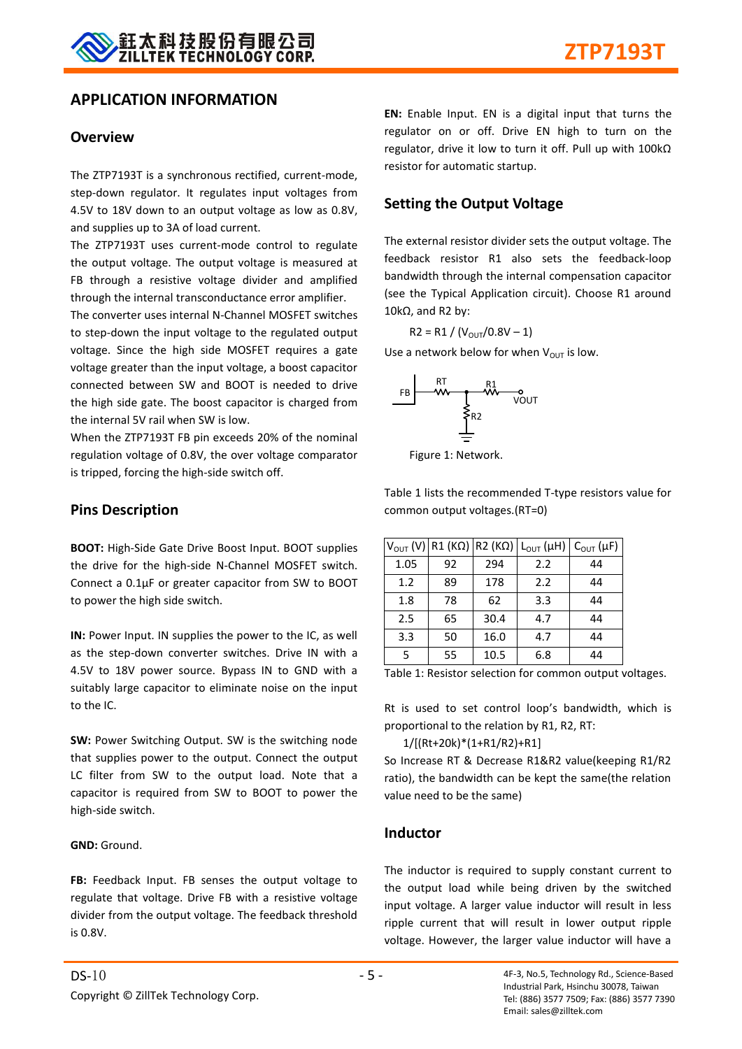#### **APPLICATION INFORMATION**

#### **Overview**

The ZTP7193T is a synchronous rectified, current-mode, step-down regulator. It regulates input voltages from 4.5V to 18V down to an output voltage as low as 0.8V, and supplies up to 3A of load current.

The ZTP7193T uses current-mode control to regulate the output voltage. The output voltage is measured at FB through a resistive voltage divider and amplified through the internal transconductance error amplifier.

The converter uses internal N-Channel MOSFET switches to step-down the input voltage to the regulated output voltage. Since the high side MOSFET requires a gate voltage greater than the input voltage, a boost capacitor connected between SW and BOOT is needed to drive the high side gate. The boost capacitor is charged from the internal 5V rail when SW is low.

When the ZTP7193T FB pin exceeds 20% of the nominal regulation voltage of 0.8V, the over voltage comparator is tripped, forcing the high-side switch off.

#### **Pins Description**

**BOOT:** High-Side Gate Drive Boost Input. BOOT supplies the drive for the high-side N-Channel MOSFET switch. Connect a 0.1μF or greater capacitor from SW to BOOT to power the high side switch.

**IN:** Power Input. IN supplies the power to the IC, as well as the step-down converter switches. Drive IN with a 4.5V to 18V power source. Bypass IN to GND with a suitably large capacitor to eliminate noise on the input to the IC.

**SW:** Power Switching Output. SW is the switching node that supplies power to the output. Connect the output LC filter from SW to the output load. Note that a capacitor is required from SW to BOOT to power the high-side switch.

#### **GND:** Ground.

FB: Feedback Input. FB senses the output voltage to regulate that voltage. Drive FB with a resistive voltage divider from the output voltage. The feedback threshold is 0.8V.

**EN:** Enable Input. EN is a digital input that turns the regulator on or off. Drive EN high to turn on the regulator, drive it low to turn it off. Pull up with 100kΩ resistor for automatic startup.

#### **Setting the Output Voltage**

The external resistor divider sets the output voltage. The feedback resistor R1 also sets the feedback-loop bandwidth through the internal compensation capacitor (see the Typical Application circuit). Choose R1 around 10kΩ, and R2 by:

$$
R2 = R1 / (V_{OUT}/0.8V - 1)
$$

Use a network below for when  $V_{\text{OUT}}$  is low.



Figure 1: Network.

Table 1 lists the recommended T-type resistors value for common output voltages.(RT=0)

|      | $V_{OUT} (V)$ R1 (KQ) R2 (KQ) |      | $L_{OUT}(\mu H)$ | $C_{\text{OUT}}(\mu F)$ |
|------|-------------------------------|------|------------------|-------------------------|
| 1.05 | 92                            | 294  | 2.2              | 44                      |
| 1.2  | 89                            | 178  | 2.2              | 44                      |
| 1.8  | 78                            | 62   | 3.3              | 44                      |
| 2.5  | 65                            | 30.4 | 4.7              | 44                      |
| 3.3  | 50                            | 16.0 | 4.7              | 44                      |
| 5    | 55                            | 10.5 | 6.8              | 44                      |

Table 1: Resistor selection for common output voltages.

Rt is used to set control loop's bandwidth, which is proportional to the relation by R1, R2, RT:

1/[(Rt+20k)\*(1+R1/R2)+R1]

So Increase RT & Decrease R1&R2 value(keeping R1/R2 ratio), the bandwidth can be kept the same(the relation value need to be the same)

#### **Inductor**

The inductor is required to supply constant current to the output load while being driven by the switched input voltage. A larger value inductor will result in less ripple current that will result in lower output ripple voltage. However, the larger value inductor will have a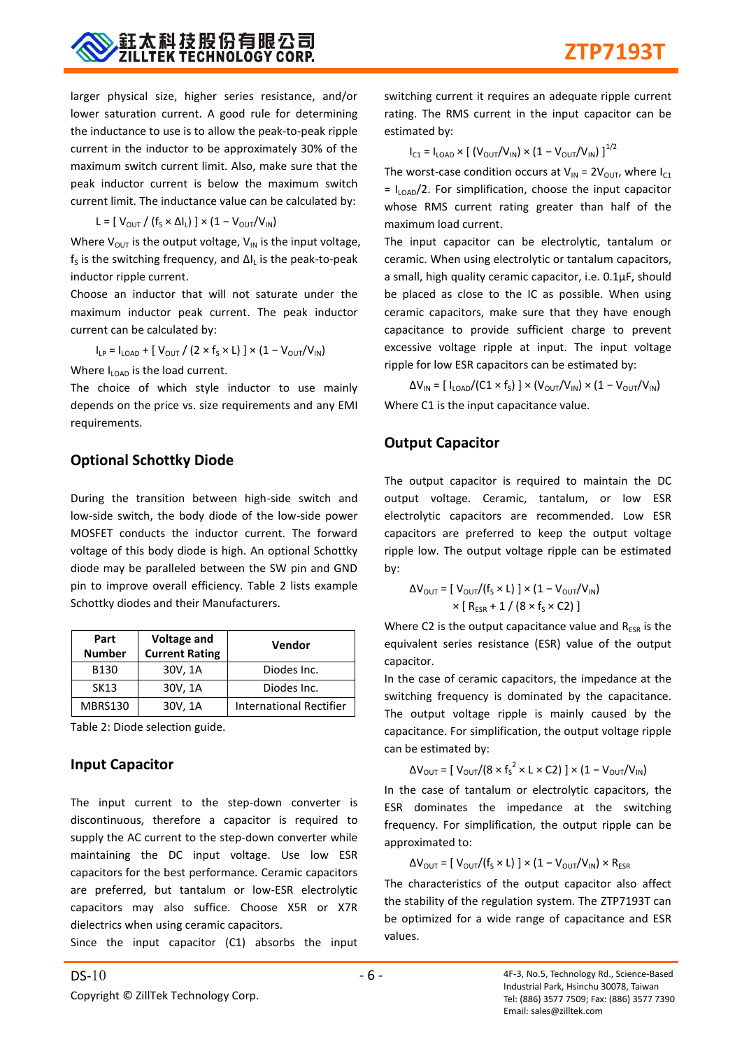larger physical size, higher series resistance, and/or lower saturation current. A good rule for determining the inductance to use is to allow the peak-to-peak ripple current in the inductor to be approximately 30% of the maximum switch current limit. Also, make sure that the peak inductor current is below the maximum switch current limit. The inductance value can be calculated by:

$$
L = [ V_{\text{OUT}} / (f_{S} \times \Delta I_{L}) ] \times (1 - V_{\text{OUT}} / V_{\text{IN}})
$$

Where  $V_{OUT}$  is the output voltage,  $V_{IN}$  is the input voltage,  $f_s$  is the switching frequency, and  $\Delta I_L$  is the peak-to-peak inductor ripple current.

Choose an inductor that will not saturate under the maximum inductor peak current. The peak inductor current can be calculated by:

 $\mathsf{I}_{\mathsf{LP}} = \mathsf{I}_{\mathsf{LOAD}} + \left[ \right. \mathsf{V}_{\mathsf{OUT}} \mathsf{/} \left( 2 \times \mathsf{f}_\mathsf{S} \times \mathsf{L} \right) \left. \right] \times \left( 1 - \mathsf{V}_{\mathsf{OUT}} / \mathsf{V}_{\mathsf{IN}} \right)$ 

Where  $I_{\text{LOAD}}$  is the load current.

The choice of which style inductor to use mainly depends on the price vs. size requirements and any EMI requirements.

## **Optional Schottky Diode**

During the transition between high-side switch and low-side switch, the body diode of the low-side power MOSFET conducts the inductor current. The forward voltage of this body diode is high. An optional Schottky diode may be paralleled between the SW pin and GND pin to improve overall efficiency. Table 2 lists example Schottky diodes and their Manufacturers.

| Part<br><b>Number</b> | <b>Voltage and</b><br><b>Current Rating</b> | Vendor                         |
|-----------------------|---------------------------------------------|--------------------------------|
| B <sub>130</sub>      | 30V, 1A                                     | Diodes Inc.                    |
| SK13                  | 30V, 1A                                     | Diodes Inc.                    |
| MBRS130               | 30V, 1A                                     | <b>International Rectifier</b> |

Table 2: Diode selection guide.

## **Input Capacitor**

The input current to the step-down converter is discontinuous, therefore a capacitor is required to supply the AC current to the step-down converter while maintaining the DC input voltage. Use low ESR capacitors for the best performance. Ceramic capacitors are preferred, but tantalum or low-ESR electrolytic capacitors may also suffice. Choose X5R or X7R dielectrics when using ceramic capacitors.

Since the input capacitor (C1) absorbs the input

switching current it requires an adequate ripple current rating. The RMS current in the input capacitor can be estimated by:

$$
I_{C1} = I_{LOAD} \times \left[ (V_{OUT}/V_{IN}) \times (1 - V_{OUT}/V_{IN}) \right]^{1/2}
$$

The worst-case condition occurs at  $V_{IN} = 2V_{OUT}$ , where  $I_{C1}$  $= I_{\text{LOAD}}/2$ . For simplification, choose the input capacitor whose RMS current rating greater than half of the maximum load current.

The input capacitor can be electrolytic, tantalum or ceramic. When using electrolytic or tantalum capacitors, a small, high quality ceramic capacitor, i.e. 0.1μF, should be placed as close to the IC as possible. When using ceramic capacitors, make sure that they have enough capacitance to provide sufficient charge to prevent excessive voltage ripple at input. The input voltage ripple for low ESR capacitors can be estimated by:

 $\Delta V_{\sf IN}$  = [ I<sub>LOAD</sub>/(C1 × f<sub>S</sub>) ] × (V<sub>OUT</sub>/V<sub>IN</sub>) × (1 – V<sub>OUT</sub>/V<sub>IN</sub>) Where C1 is the input capacitance value.

## **Output Capacitor**

The output capacitor is required to maintain the DC output voltage. Ceramic, tantalum, or low ESR electrolytic capacitors are recommended. Low ESR capacitors are preferred to keep the output voltage ripple low. The output voltage ripple can be estimated by:

$$
\Delta V_{\text{OUT}} = [\ V_{\text{OUT}} / (f_{\text{S}} \times L)] \times (1 - V_{\text{OUT}} / V_{\text{IN}})
$$

$$
\times [\ R_{\text{ESR}} + 1 / (8 \times f_{\text{S}} \times C2)]
$$

Where C2 is the output capacitance value and  $R_{ESR}$  is the equivalent series resistance (ESR) value of the output capacitor.

In the case of ceramic capacitors, the impedance at the switching frequency is dominated by the capacitance. The output voltage ripple is mainly caused by the capacitance. For simplification, the output voltage ripple can be estimated by:

$$
\Delta V_{\text{OUT}} = [ V_{\text{OUT}} / (8 \times f_s^2 \times L \times C2) ] \times (1 - V_{\text{OUT}} / V_{\text{IN}})
$$

In the case of tantalum or electrolytic capacitors, the ESR dominates the impedance at the switching frequency. For simplification, the output ripple can be approximated to:

 $\Delta V_{\text{OUT}} = [\text{ V}_{\text{OUT}}/(\text{f}_{\text{S}} \times \text{L})] \times (1 - \text{V}_{\text{OUT}}/\text{V}_{\text{IN}}) \times \text{R}_{\text{ESR}}$ 

The characteristics of the output capacitor also affect the stability of the regulation system. The ZTP7193T can be optimized for a wide range of capacitance and ESR values.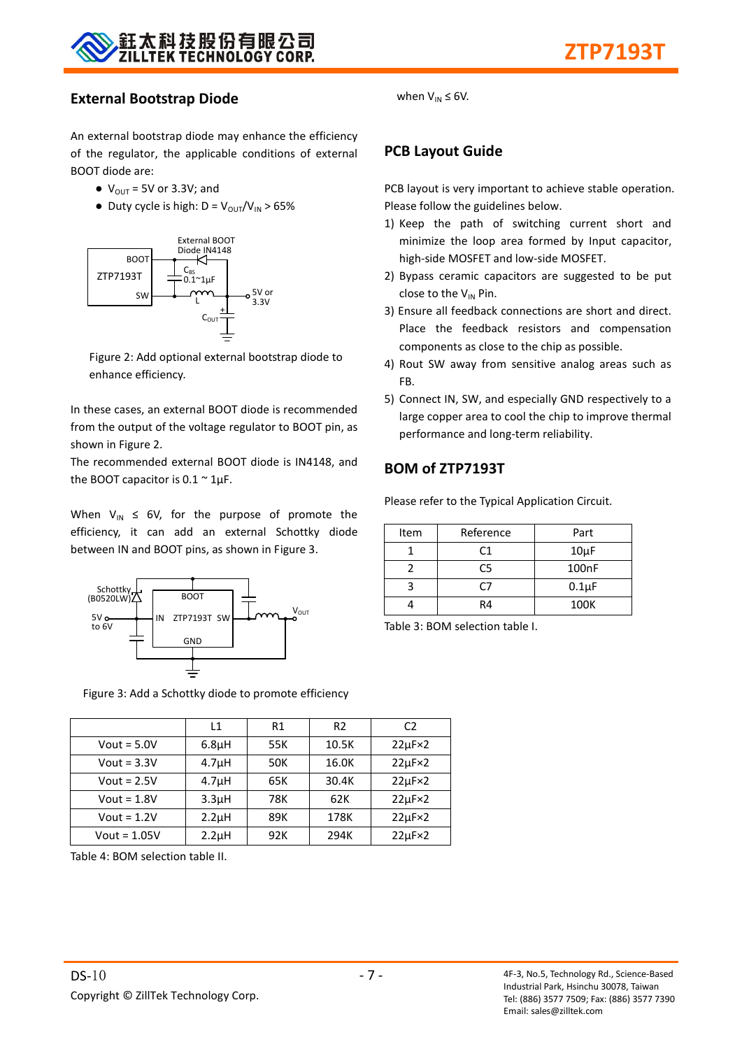

#### **External Bootstrap Diode**

An external bootstrap diode may enhance the efficiency of the regulator, the applicable conditions of external BOOT diode are:

- $\bullet\ V_{\text{OUT}} = 5V \text{ or } 3.3V$ ; and
- Duty cycle is high:  $D = V_{OUT}/V_{IN} > 65\%$



Figure 2: Add optional external bootstrap diode to enhance efficiency.

In these cases, an external BOOT diode is recommended from the output of the voltage regulator to BOOT pin, as shown in Figure 2.

The recommended external BOOT diode is IN4148, and the BOOT capacitor is  $0.1 \sim 1 \mu F$ .

When  $V_{IN} \leq 6V$ , for the purpose of promote the efficiency, it can add an external Schottky diode between IN and BOOT pins, as shown in Figure 3.



Figure 3: Add a Schottky diode to promote efficiency

|                | L1                 | R1  | R2    | C2                   |
|----------------|--------------------|-----|-------|----------------------|
| Vout = $5.0V$  | 6.8 <sub>µ</sub> H | 55K | 10.5K | $22\mu$ F $\times$ 2 |
| Vout = $3.3V$  | 4.7 <sub>µ</sub> H | 50K | 16.0K | $22\mu F \times 2$   |
| Vout = $2.5V$  | 4.7 <sub>µ</sub> H | 65K | 30.4K | $22\mu F \times 2$   |
| Vout = $1.8V$  | 3.3 <sub>µ</sub> H | 78K | 62K   | $22\mu F \times 2$   |
| Vout = $1.2V$  | 2.2 <sub>µ</sub> H | 89K | 178K  | $22\mu F \times 2$   |
| $Vout = 1.05V$ | $2.2\mu$ H         | 92K | 294K  | $22\mu F \times 2$   |

Table 4: BOM selection table II.

- 
- 



#### **PCB Layout Guide**

PCB layout is very important to achieve stable operation. Please follow the guidelines below.

- 1) Keep the path of switching current short and minimize the loop area formed by Input capacitor, high-side MOSFET and low-side MOSFET.
- 2) Bypass ceramic capacitors are suggested to be put close to the  $V_{IN}$  Pin.
- 3) Ensure all feedback connections are short and direct. Place the feedback resistors and compensation components as close to the chip as possible.
- 4) Rout SW away from sensitive analog areas such as FB.
- 5) Connect IN, SW, and especially GND respectively to a large copper area to cool the chip to improve thermal performance and long-term reliability.

## **BOM of ZTP7193T**

Please refer to the Typical Application Circuit.

| Item | Reference                   | Part       |
|------|-----------------------------|------------|
|      | $10\mu F$<br>C <sub>1</sub> |            |
|      | C5                          | 100nF      |
|      | r7                          | $0.1\mu F$ |
|      | R4                          | 100K       |

Table 3: BOM selection table I.